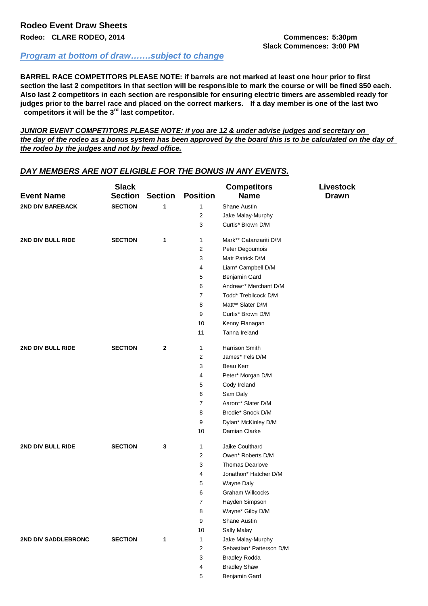## *Program at bottom of draw…….subject to change*

**BARREL RACE COMPETITORS PLEASE NOTE: if barrels are not marked at least one hour prior to first section the last 2 competitors in that section will be responsible to mark the course or will be fined \$50 each. Also last 2 competitors in each section are responsible for ensuring electric timers are assembled ready for judges prior to the barrel race and placed on the correct markers. If a day member is one of the last two competitors it will be the 3rd last competitor.**

*JUNIOR EVENT COMPETITORS PLEASE NOTE: if you are 12 & under advise judges and secretary on the day of the rodeo as a bonus system has been approved by the board this is to be calculated on the day of the rodeo by the judges and not by head office.*

| <b>Event Name</b>       | <b>Slack</b><br><b>Section</b> | <b>Section</b> | <b>Position</b> | <b>Competitors</b><br><b>Name</b> | Livestock<br><b>Drawn</b> |
|-------------------------|--------------------------------|----------------|-----------------|-----------------------------------|---------------------------|
| <b>2ND DIV BAREBACK</b> | <b>SECTION</b>                 | 1              | 1               | Shane Austin                      |                           |
|                         |                                |                | 2               | Jake Malay-Murphy                 |                           |
|                         |                                |                | 3               | Curtis* Brown D/M                 |                           |
| 2ND DIV BULL RIDE       | <b>SECTION</b>                 | 1              | 1               | Mark** Catanzariti D/M            |                           |
|                         |                                |                | $\overline{2}$  | Peter Degoumois                   |                           |
|                         |                                |                | 3               | Matt Patrick D/M                  |                           |
|                         |                                |                | 4               | Liam* Campbell D/M                |                           |
|                         |                                |                | $\mathbf 5$     | Benjamin Gard                     |                           |
|                         |                                |                | 6               | Andrew** Merchant D/M             |                           |
|                         |                                |                | 7               | Todd* Trebilcock D/M              |                           |
|                         |                                |                | 8               | Matt** Slater D/M                 |                           |
|                         |                                |                | 9               | Curtis* Brown D/M                 |                           |
|                         |                                |                | 10              | Kenny Flanagan                    |                           |
|                         |                                |                | 11              | Tanna Ireland                     |                           |
| 2ND DIV BULL RIDE       | <b>SECTION</b>                 | $\mathbf{2}$   | 1               | <b>Harrison Smith</b>             |                           |
|                         |                                |                | $\overline{2}$  | James* Fels D/M                   |                           |
|                         |                                |                | 3               | Beau Kerr                         |                           |
|                         |                                |                | 4               | Peter* Morgan D/M                 |                           |
|                         |                                |                | $\mathbf 5$     | Cody Ireland                      |                           |
|                         |                                |                | 6               | Sam Daly                          |                           |
|                         |                                |                | $\overline{7}$  | Aaron** Slater D/M                |                           |
|                         |                                |                | 8               | Brodie* Snook D/M                 |                           |
|                         |                                |                | 9               | Dylan* McKinley D/M               |                           |
|                         |                                |                | 10              | Damian Clarke                     |                           |
| 2ND DIV BULL RIDE       | <b>SECTION</b>                 | 3              | 1               | Jaike Coulthard                   |                           |
|                         |                                |                | 2               | Owen* Roberts D/M                 |                           |
|                         |                                |                | 3               | <b>Thomas Dearlove</b>            |                           |
|                         |                                |                | 4               | Jonathon* Hatcher D/M             |                           |
|                         |                                |                | 5               | Wayne Daly                        |                           |
|                         |                                |                | 6               | <b>Graham Willcocks</b>           |                           |
|                         |                                |                | ſ               | Hayden Simpson                    |                           |
|                         |                                |                | 8               | Wayne* Gilby D/M                  |                           |
|                         |                                |                | 9               | Shane Austin                      |                           |
|                         |                                |                | 10              | Sally Malay                       |                           |
| 2ND DIV SADDLEBRONC     | <b>SECTION</b>                 | 1              | $\mathbf{1}$    | Jake Malay-Murphy                 |                           |
|                         |                                |                | 2               | Sebastian* Patterson D/M          |                           |
|                         |                                |                | 3               | <b>Bradley Rodda</b>              |                           |
|                         |                                |                | 4               | <b>Bradley Shaw</b>               |                           |
|                         |                                |                | 5               | Benjamin Gard                     |                           |

## *DAY MEMBERS ARE NOT ELIGIBLE FOR THE BONUS IN ANY EVENTS.*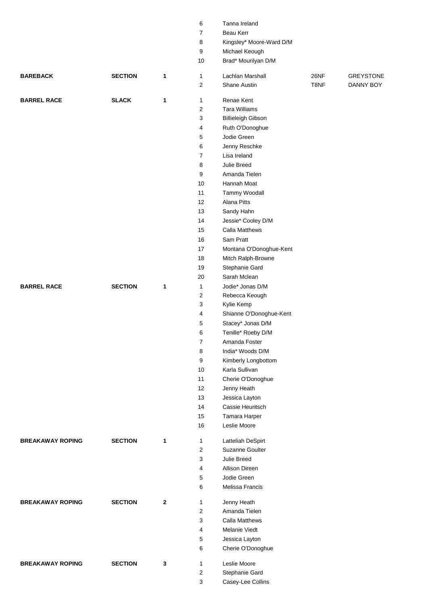|                         |                |              | 6              | Tanna Ireland                  |      |                  |
|-------------------------|----------------|--------------|----------------|--------------------------------|------|------------------|
|                         |                |              | 7              | Beau Kerr                      |      |                  |
|                         |                |              | 8              | Kingsley* Moore-Ward D/M       |      |                  |
|                         |                |              | 9              | Michael Keough                 |      |                  |
|                         |                |              | 10             | Brad* Mourilyan D/M            |      |                  |
| <b>BAREBACK</b>         | <b>SECTION</b> | 1            | $\mathbf{1}$   | Lachlan Marshall               | 26NF | <b>GREYSTONE</b> |
|                         |                |              | 2              | Shane Austin                   | T8NF | DANNY BOY        |
| <b>BARREL RACE</b>      | <b>SLACK</b>   | 1            | $\mathbf{1}$   | Renae Kent                     |      |                  |
|                         |                |              | $\overline{2}$ | <b>Tara Williams</b>           |      |                  |
|                         |                |              | 3              | <b>Billieleigh Gibson</b>      |      |                  |
|                         |                |              | 4              | Ruth O'Donoghue                |      |                  |
|                         |                |              | 5              | Jodie Green                    |      |                  |
|                         |                |              | 6              | Jenny Reschke                  |      |                  |
|                         |                |              | 7              | Lisa Ireland                   |      |                  |
|                         |                |              | 8              | Julie Breed                    |      |                  |
|                         |                |              | 9              | Amanda Tielen                  |      |                  |
|                         |                |              | 10             | Hannah Moat                    |      |                  |
|                         |                |              | 11             | Tammy Woodall                  |      |                  |
|                         |                |              | 12             | <b>Alana Pitts</b>             |      |                  |
|                         |                |              | 13             | Sandy Hahn                     |      |                  |
|                         |                |              | 14             | Jessie* Cooley D/M             |      |                  |
|                         |                |              | 15             | Calla Matthews                 |      |                  |
|                         |                |              | 16             | Sam Pratt                      |      |                  |
|                         |                |              | 17             | Montana O'Donoghue-Kent        |      |                  |
|                         |                |              | 18             |                                |      |                  |
|                         |                |              |                | Mitch Ralph-Browne             |      |                  |
|                         |                |              | 19             | Stephanie Gard<br>Sarah Mclean |      |                  |
|                         |                |              | 20             |                                |      |                  |
| <b>BARREL RACE</b>      | <b>SECTION</b> | 1            | $\mathbf{1}$   | Jodie* Jonas D/M               |      |                  |
|                         |                |              | 2              | Rebecca Keough                 |      |                  |
|                         |                |              | 3              | Kylie Kemp                     |      |                  |
|                         |                |              | 4              | Shianne O'Donoghue-Kent        |      |                  |
|                         |                |              | 5              | Stacey* Jonas D/M              |      |                  |
|                         |                |              | 6              | Tenille* Roeby D/M             |      |                  |
|                         |                |              | 7              | Amanda Foster                  |      |                  |
|                         |                |              | 8              | India* Woods D/M               |      |                  |
|                         |                |              | 9              | Kimberly Longbottom            |      |                  |
|                         |                |              | 10             | Karla Sullivan                 |      |                  |
|                         |                |              | 11             | Cherie O'Donoghue              |      |                  |
|                         |                |              | 12             | Jenny Heath                    |      |                  |
|                         |                |              | 13             | Jessica Layton                 |      |                  |
|                         |                |              | 14             | Cassie Heuritsch               |      |                  |
|                         |                |              | 15             | Tamara Harper                  |      |                  |
|                         |                |              | 16             | Leslie Moore                   |      |                  |
| <b>BREAKAWAY ROPING</b> | <b>SECTION</b> | 1            | $\mathbf{1}$   | Latteliah DeSpirt              |      |                  |
|                         |                |              | $\overline{c}$ | Suzanne Goulter                |      |                  |
|                         |                |              | 3              | Julie Breed                    |      |                  |
|                         |                |              | 4              | Allison Direen                 |      |                  |
|                         |                |              | 5              | Jodie Green                    |      |                  |
|                         |                |              | 6              | Melissa Francis                |      |                  |
| <b>BREAKAWAY ROPING</b> | <b>SECTION</b> | $\mathbf{2}$ | $\mathbf{1}$   | Jenny Heath                    |      |                  |
|                         |                |              | 2              | Amanda Tielen                  |      |                  |
|                         |                |              | 3              | <b>Calla Matthews</b>          |      |                  |
|                         |                |              | 4              | Melanie Viedt                  |      |                  |
|                         |                |              | 5              | Jessica Layton                 |      |                  |
|                         |                |              | 6              | Cherie O'Donoghue              |      |                  |
| <b>BREAKAWAY ROPING</b> | <b>SECTION</b> | 3            | $\mathbf{1}$   | Leslie Moore                   |      |                  |
|                         |                |              | 2              | Stephanie Gard                 |      |                  |
|                         |                |              | 3              | Casey-Lee Collins              |      |                  |
|                         |                |              |                |                                |      |                  |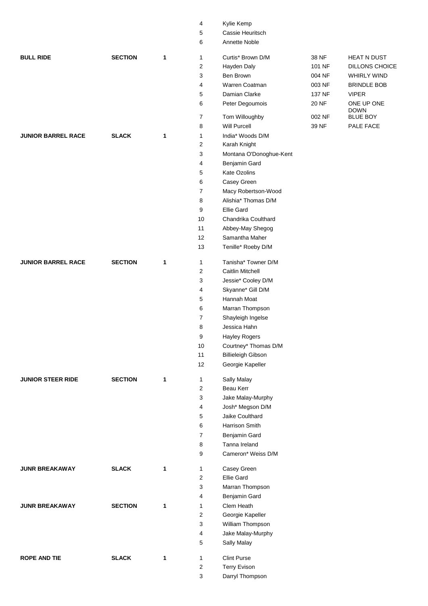|                           |                |   | 5                       | Cassie Heuritsch          |        |                           |
|---------------------------|----------------|---|-------------------------|---------------------------|--------|---------------------------|
|                           |                |   | 6                       | Annette Noble             |        |                           |
| <b>BULL RIDE</b>          | <b>SECTION</b> | 1 |                         | Curtis* Brown D/M         | 38 NF  | <b>HEAT N DUST</b>        |
|                           |                |   | 1                       |                           |        |                           |
|                           |                |   | $\overline{\mathbf{c}}$ | Hayden Daly               | 101 NF | DILLONS CHOICE            |
|                           |                |   | 3                       | Ben Brown                 | 004 NF | <b>WHIRLY WIND</b>        |
|                           |                |   | 4                       | Warren Coatman            | 003 NF | <b>BRINDLE BOB</b>        |
|                           |                |   | 5                       | Damian Clarke             | 137 NF | <b>VIPER</b>              |
|                           |                |   | 6                       | Peter Degoumois           | 20 NF  | ONE UP ONE<br><b>DOWN</b> |
|                           |                |   | $\overline{7}$          | Tom Willoughby            | 002 NF | <b>BLUE BOY</b>           |
|                           |                |   | 8                       | <b>Will Purcell</b>       | 39 NF  | PALE FACE                 |
| <b>JUNIOR BARREL RACE</b> | <b>SLACK</b>   | 1 | $\mathbf{1}$            | India* Woods D/M          |        |                           |
|                           |                |   | $\overline{\mathbf{c}}$ | Karah Knight              |        |                           |
|                           |                |   | 3                       | Montana O'Donoghue-Kent   |        |                           |
|                           |                |   | 4                       | Benjamin Gard             |        |                           |
|                           |                |   | 5                       | Kate Ozolins              |        |                           |
|                           |                |   | 6                       | Casey Green               |        |                           |
|                           |                |   | 7                       | Macy Robertson-Wood       |        |                           |
|                           |                |   | 8                       | Alishia* Thomas D/M       |        |                           |
|                           |                |   | 9                       | <b>Ellie Gard</b>         |        |                           |
|                           |                |   | 10                      | Chandrika Coulthard       |        |                           |
|                           |                |   | 11                      | Abbey-May Shegog          |        |                           |
|                           |                |   | 12                      | Samantha Maher            |        |                           |
|                           |                |   | 13                      | Tenille* Roeby D/M        |        |                           |
|                           |                |   |                         |                           |        |                           |
| <b>JUNIOR BARREL RACE</b> | <b>SECTION</b> | 1 | 1                       | Tanisha* Towner D/M       |        |                           |
|                           |                |   | $\overline{\mathbf{c}}$ | Caitlin Mitchell          |        |                           |
|                           |                |   | 3                       | Jessie* Cooley D/M        |        |                           |
|                           |                |   | 4                       | Skyanne* Gill D/M         |        |                           |
|                           |                |   | 5                       | Hannah Moat               |        |                           |
|                           |                |   | 6                       | Marran Thompson           |        |                           |
|                           |                |   | $\overline{7}$          | Shayleigh Ingelse         |        |                           |
|                           |                |   | 8                       | Jessica Hahn              |        |                           |
|                           |                |   | 9                       | <b>Hayley Rogers</b>      |        |                           |
|                           |                |   | 10                      | Courtney* Thomas D/M      |        |                           |
|                           |                |   | 11                      | <b>Billieleigh Gibson</b> |        |                           |
|                           |                |   | 12                      | Georgie Kapeller          |        |                           |
|                           | <b>SECTION</b> |   |                         |                           |        |                           |
| <b>JUNIOR STEER RIDE</b>  |                | 1 | 1                       | Sally Malay<br>Beau Kerr  |        |                           |
|                           |                |   | $\boldsymbol{2}$        |                           |        |                           |
|                           |                |   | 3                       | Jake Malay-Murphy         |        |                           |
|                           |                |   | 4                       | Josh* Megson D/M          |        |                           |
|                           |                |   | 5                       | Jaike Coulthard           |        |                           |
|                           |                |   | 6                       | Harrison Smith            |        |                           |
|                           |                |   | $\overline{7}$          | Benjamin Gard             |        |                           |
|                           |                |   | 8                       | Tanna Ireland             |        |                           |
|                           |                |   | 9                       | Cameron* Weiss D/M        |        |                           |
| <b>JUNR BREAKAWAY</b>     | <b>SLACK</b>   | 1 | 1                       | Casey Green               |        |                           |
|                           |                |   | $\overline{2}$          | <b>Ellie Gard</b>         |        |                           |
|                           |                |   | 3                       | Marran Thompson           |        |                           |
|                           |                |   | 4                       | Benjamin Gard             |        |                           |
| <b>JUNR BREAKAWAY</b>     | <b>SECTION</b> | 1 | 1                       | Clem Heath                |        |                           |
|                           |                |   | $\overline{\mathbf{c}}$ | Georgie Kapeller          |        |                           |
|                           |                |   | 3                       | William Thompson          |        |                           |
|                           |                |   | 4                       | Jake Malay-Murphy         |        |                           |
|                           |                |   | 5                       | Sally Malay               |        |                           |
| <b>ROPE AND TIE</b>       | <b>SLACK</b>   | 1 | 1                       | <b>Clint Purse</b>        |        |                           |
|                           |                |   | $\overline{2}$          | <b>Terry Evison</b>       |        |                           |
|                           |                |   | 3                       | Darryl Thompson           |        |                           |
|                           |                |   |                         |                           |        |                           |

Kylie Kemp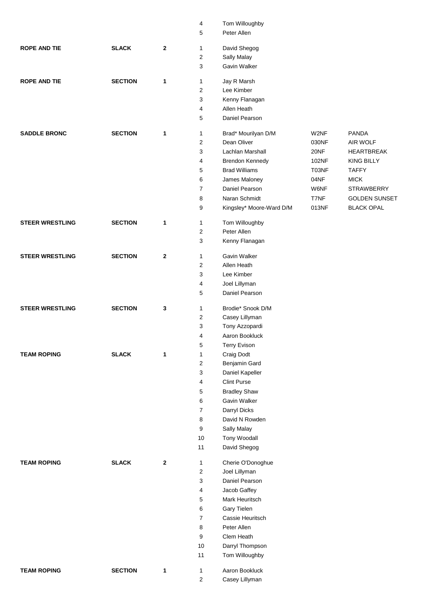|                        |                |              | 4                       | Tom Willoughby           |       |                      |
|------------------------|----------------|--------------|-------------------------|--------------------------|-------|----------------------|
|                        |                |              | 5                       | Peter Allen              |       |                      |
|                        |                |              |                         |                          |       |                      |
| <b>ROPE AND TIE</b>    | <b>SLACK</b>   | $\mathbf{2}$ | 1                       | David Shegog             |       |                      |
|                        |                |              | $\overline{\mathbf{c}}$ | Sally Malay              |       |                      |
|                        |                |              | 3                       | Gavin Walker             |       |                      |
| <b>ROPE AND TIE</b>    | <b>SECTION</b> | 1            | 1                       | Jay R Marsh              |       |                      |
|                        |                |              | $\overline{2}$          | Lee Kimber               |       |                      |
|                        |                |              | 3                       | Kenny Flanagan           |       |                      |
|                        |                |              | 4                       | Allen Heath              |       |                      |
|                        |                |              |                         |                          |       |                      |
|                        |                |              | 5                       | Daniel Pearson           |       |                      |
| <b>SADDLE BRONC</b>    | <b>SECTION</b> | 1            | 1                       | Brad* Mourilyan D/M      | W2NF  | <b>PANDA</b>         |
|                        |                |              | $\overline{2}$          | Dean Oliver              | 030NF | AIR WOLF             |
|                        |                |              | 3                       | Lachlan Marshall         | 20NF  | <b>HEARTBREAK</b>    |
|                        |                |              | 4                       | Brendon Kennedy          | 102NF | <b>KING BILLY</b>    |
|                        |                |              | 5                       | <b>Brad Williams</b>     | T03NF | <b>TAFFY</b>         |
|                        |                |              | 6                       | James Maloney            | 04NF  | <b>MICK</b>          |
|                        |                |              | $\overline{7}$          | Daniel Pearson           | W6NF  | <b>STRAWBERRY</b>    |
|                        |                |              |                         |                          |       |                      |
|                        |                |              | 8                       | Naran Schmidt            | T7NF  | <b>GOLDEN SUNSET</b> |
|                        |                |              | 9                       | Kingsley* Moore-Ward D/M | 013NF | <b>BLACK OPAL</b>    |
| <b>STEER WRESTLING</b> | <b>SECTION</b> | 1            | 1                       | Tom Willoughby           |       |                      |
|                        |                |              | $\overline{\mathbf{c}}$ | Peter Allen              |       |                      |
|                        |                |              | 3                       | Kenny Flanagan           |       |                      |
|                        |                |              |                         |                          |       |                      |
| <b>STEER WRESTLING</b> | <b>SECTION</b> | $\mathbf 2$  | $\mathbf{1}$            | Gavin Walker             |       |                      |
|                        |                |              | $\sqrt{2}$              | Allen Heath              |       |                      |
|                        |                |              | 3                       | Lee Kimber               |       |                      |
|                        |                |              | 4                       | Joel Lillyman            |       |                      |
|                        |                |              | 5                       | Daniel Pearson           |       |                      |
|                        |                |              |                         |                          |       |                      |
| <b>STEER WRESTLING</b> | <b>SECTION</b> | 3            | 1                       | Brodie* Snook D/M        |       |                      |
|                        |                |              | $\boldsymbol{2}$        | Casey Lillyman           |       |                      |
|                        |                |              | 3                       | Tony Azzopardi           |       |                      |
|                        |                |              | 4                       | Aaron Bookluck           |       |                      |
|                        |                |              | 5                       | <b>Terry Evison</b>      |       |                      |
| <b>TEAM ROPING</b>     | <b>SLACK</b>   | 1            | 1                       | Craig Dodt               |       |                      |
|                        |                |              | $\overline{\mathbf{c}}$ | Benjamin Gard            |       |                      |
|                        |                |              | 3                       | Daniel Kapeller          |       |                      |
|                        |                |              | 4                       | <b>Clint Purse</b>       |       |                      |
|                        |                |              | 5                       | <b>Bradley Shaw</b>      |       |                      |
|                        |                |              | 6                       | Gavin Walker             |       |                      |
|                        |                |              | 7                       | Darryl Dicks             |       |                      |
|                        |                |              | 8                       | David N Rowden           |       |                      |
|                        |                |              | 9                       | Sally Malay              |       |                      |
|                        |                |              | 10                      | <b>Tony Woodall</b>      |       |                      |
|                        |                |              | 11                      | David Shegog             |       |                      |
|                        |                |              |                         |                          |       |                      |
| <b>TEAM ROPING</b>     | <b>SLACK</b>   | $\mathbf{2}$ | 1                       | Cherie O'Donoghue        |       |                      |
|                        |                |              | $\overline{2}$          | Joel Lillyman            |       |                      |
|                        |                |              | 3                       | Daniel Pearson           |       |                      |
|                        |                |              | 4                       | Jacob Gaffey             |       |                      |
|                        |                |              | 5                       | Mark Heuritsch           |       |                      |
|                        |                |              | 6                       | Gary Tielen              |       |                      |
|                        |                |              | $\overline{7}$          | Cassie Heuritsch         |       |                      |
|                        |                |              | 8                       | Peter Allen              |       |                      |
|                        |                |              | 9                       | Clem Heath               |       |                      |
|                        |                |              | $10$                    | Darryl Thompson          |       |                      |
|                        |                |              | 11                      | Tom Willoughby           |       |                      |
|                        |                |              |                         | Aaron Bookluck           |       |                      |
| <b>TEAM ROPING</b>     | <b>SECTION</b> | 1            | 1                       |                          |       |                      |
|                        |                |              | 2                       | Casey Lillyman           |       |                      |